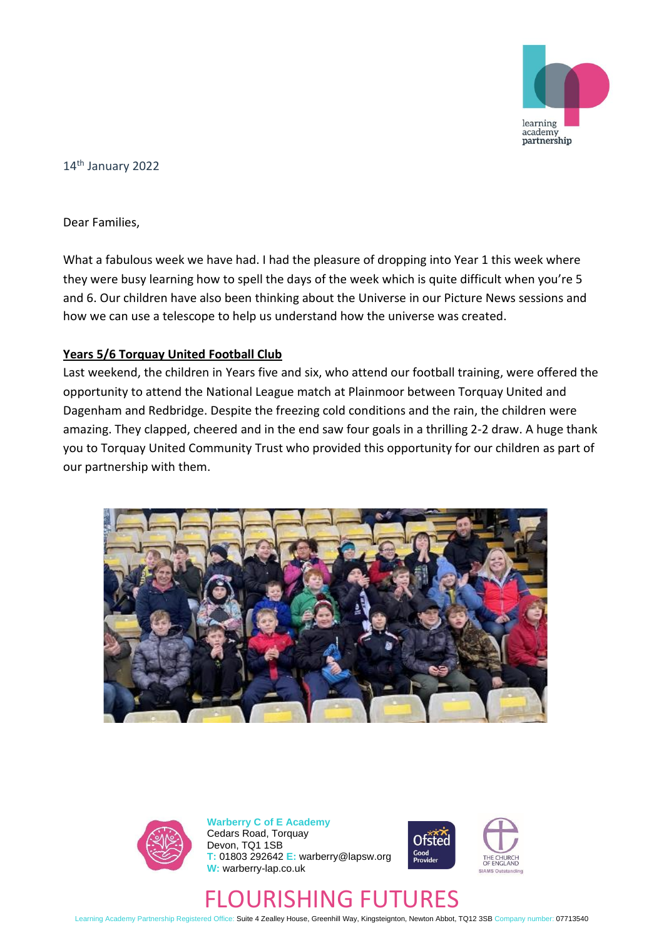

14th January 2022

Dear Families,

What a fabulous week we have had. I had the pleasure of dropping into Year 1 this week where they were busy learning how to spell the days of the week which is quite difficult when you're 5 and 6. Our children have also been thinking about the Universe in our Picture News sessions and how we can use a telescope to help us understand how the universe was created.

## **Years 5/6 Torquay United Football Club**

Last weekend, the children in Years five and six, who attend our football training, were offered the opportunity to attend the National League match at Plainmoor between Torquay United and Dagenham and Redbridge. Despite the freezing cold conditions and the rain, the children were amazing. They clapped, cheered and in the end saw four goals in a thrilling 2-2 draw. A huge thank you to Torquay United Community Trust who provided this opportunity for our children as part of our partnership with them.





**Warberry C of E Academy** Cedars Road, Torquay Devon, TQ1 1SB **T:** 01803 292642 **E:** warberry@lapsw.org **W:** warberry-lap.co.uk





## FLOURISHING FUTURES

Learning Academy Partnership Registered Office: Suite 4 Zealley House, Greenhill Way, Kingsteignton, Newton Abbot, TQ12 3SB Company number: 07713540